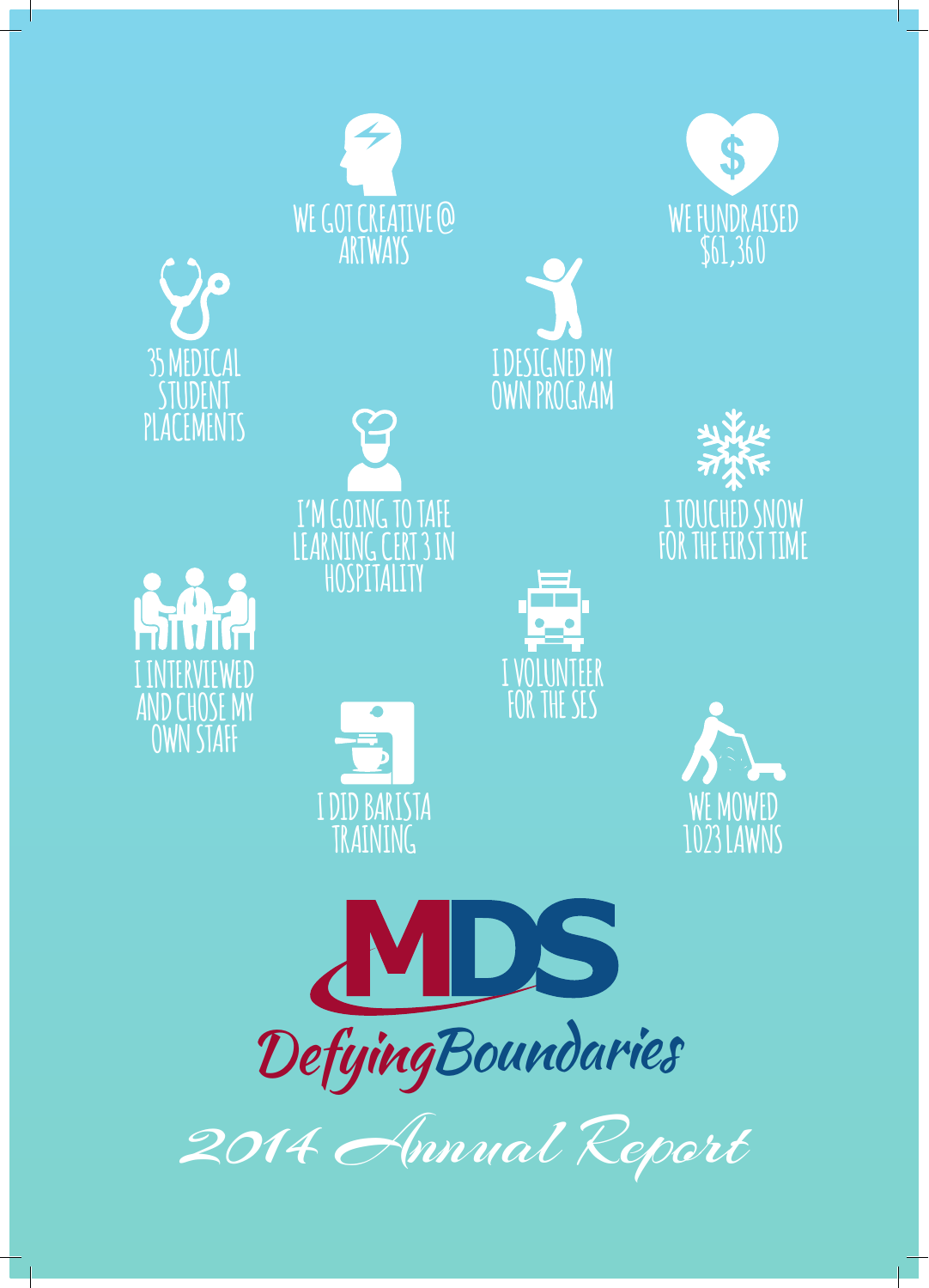

2014 Annual Report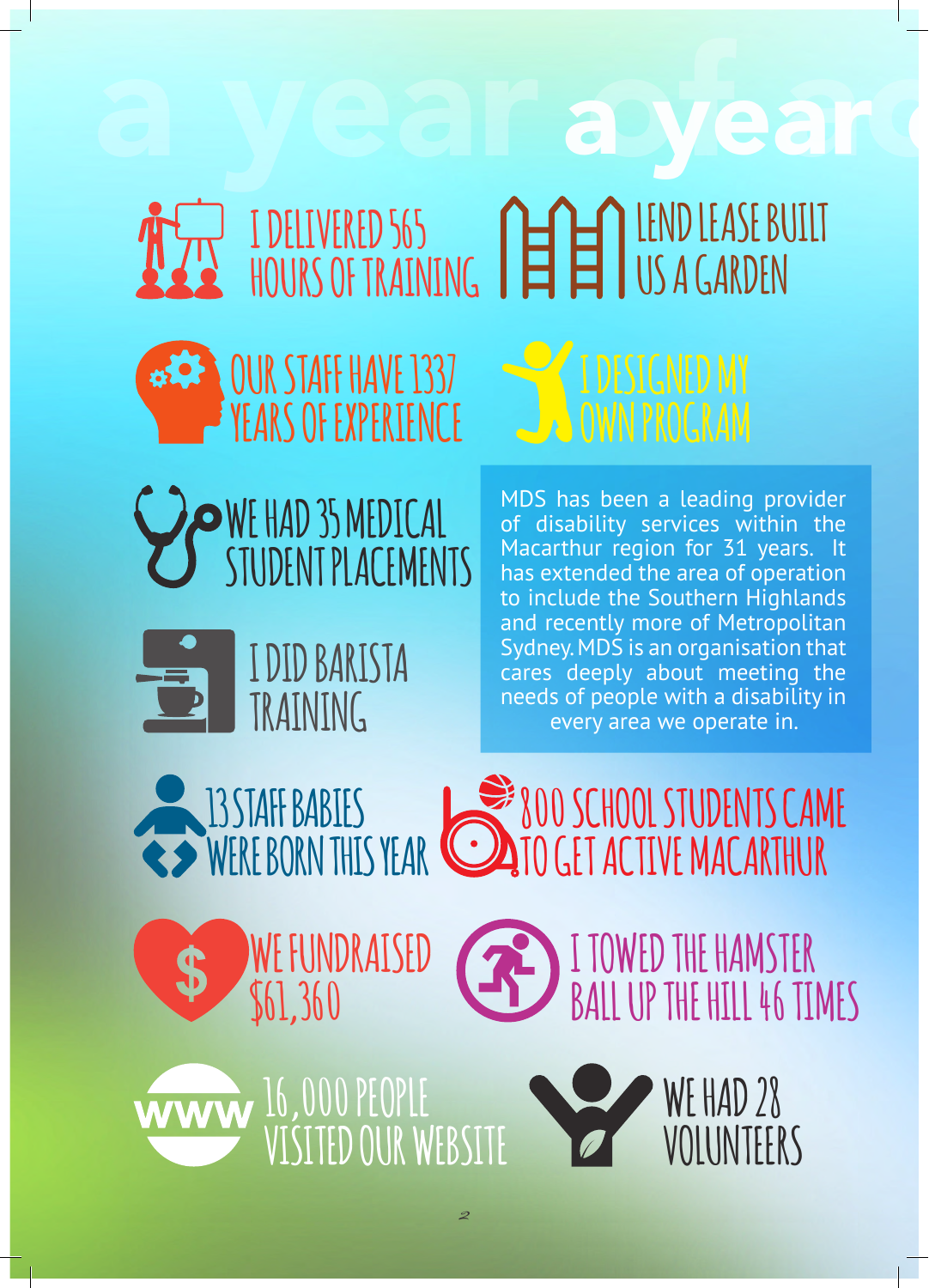

#### **OUR STAFF HAVE 1337 YEARS OF EXPERIENCE**

**I DELIVERED 565** 

**HOURS OF TRAINING**



**WE HAD 35 MEDICAL STUDENT PLACEMENTS**



#### **I DID BARISTA TRAINING**

MDS has been a leading provider of disability services within the Macarthur region for 31 years. It has extended the area of operation to include the Southern Highlands and recently more of Metropolitan Sydney. MDS is an organisation that cares deeply about meeting the needs of people with a disability in every area we operate in.

**800 SCHOOL STUDENTS CAME** 

**LEND LEASE BUILT** 

**US A GARDEN**

**WE FUNDRAISED 13 STAFF BABIES WERE BORN THIS YEAR**

**I TOWED THE HAMSTER BALL UP THE HILL 46 TIMES TO GET ACTIVE MACARTHUR**

2

**16,000 PEOPLE VISITED OUR WEBSITE**

**\$61,360**

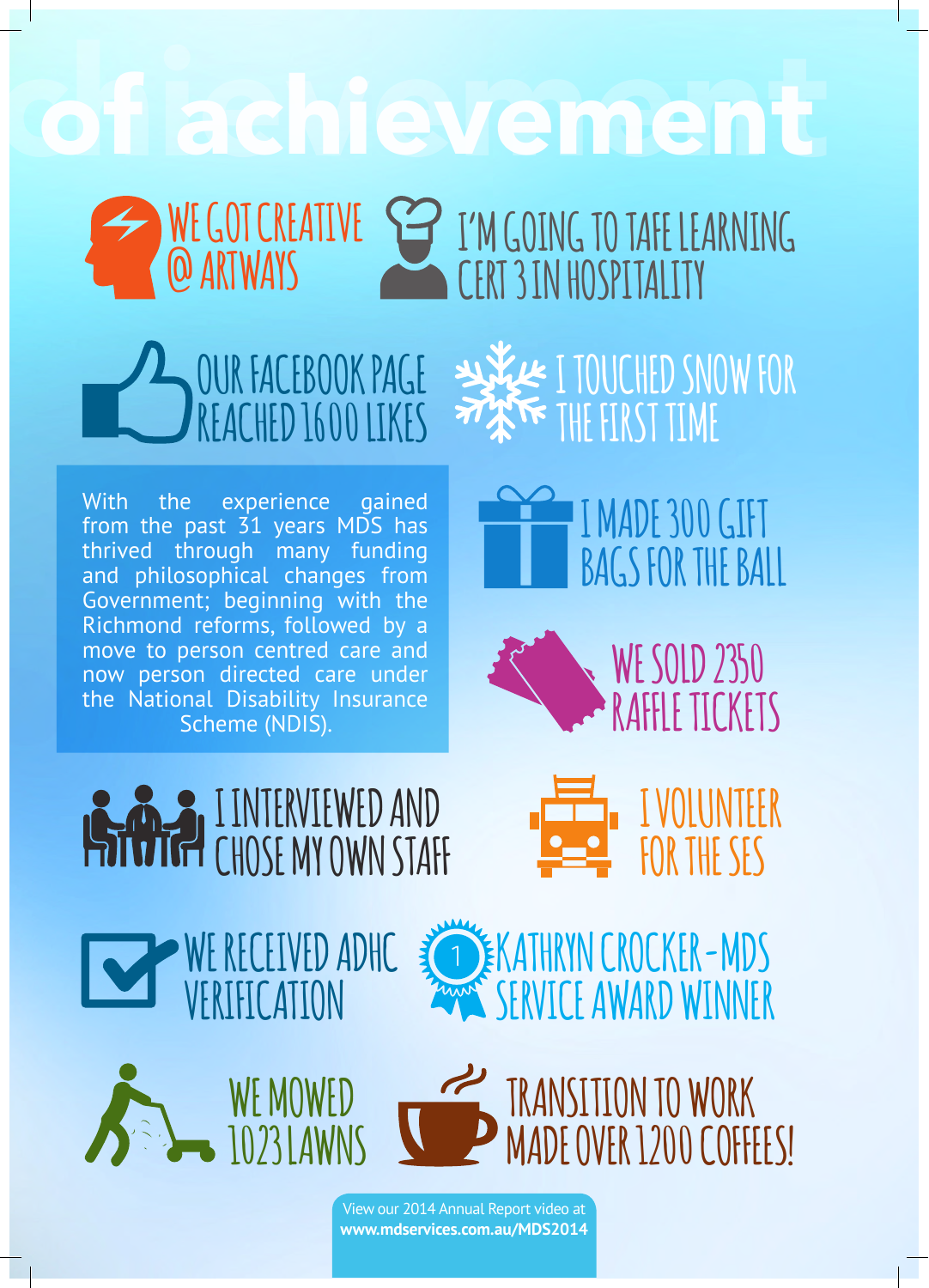### a Pachievement

**WE GOT CREATIVE @ ARTWAYS I'M GOING TO TAFE LEARNING CERT 3 IN HOSPITALITY**





With the experience gained from the past 31 years MDS has thrived through many funding and philosophical changes from Government; beginning with the Richmond reforms, followed by a move to person centred care and now person directed care under the National Disability Insurance Scheme (NDIS).





**I VOLUNTEER** 



**VERIFICATION**

**WE RECEIVED ADHC** 





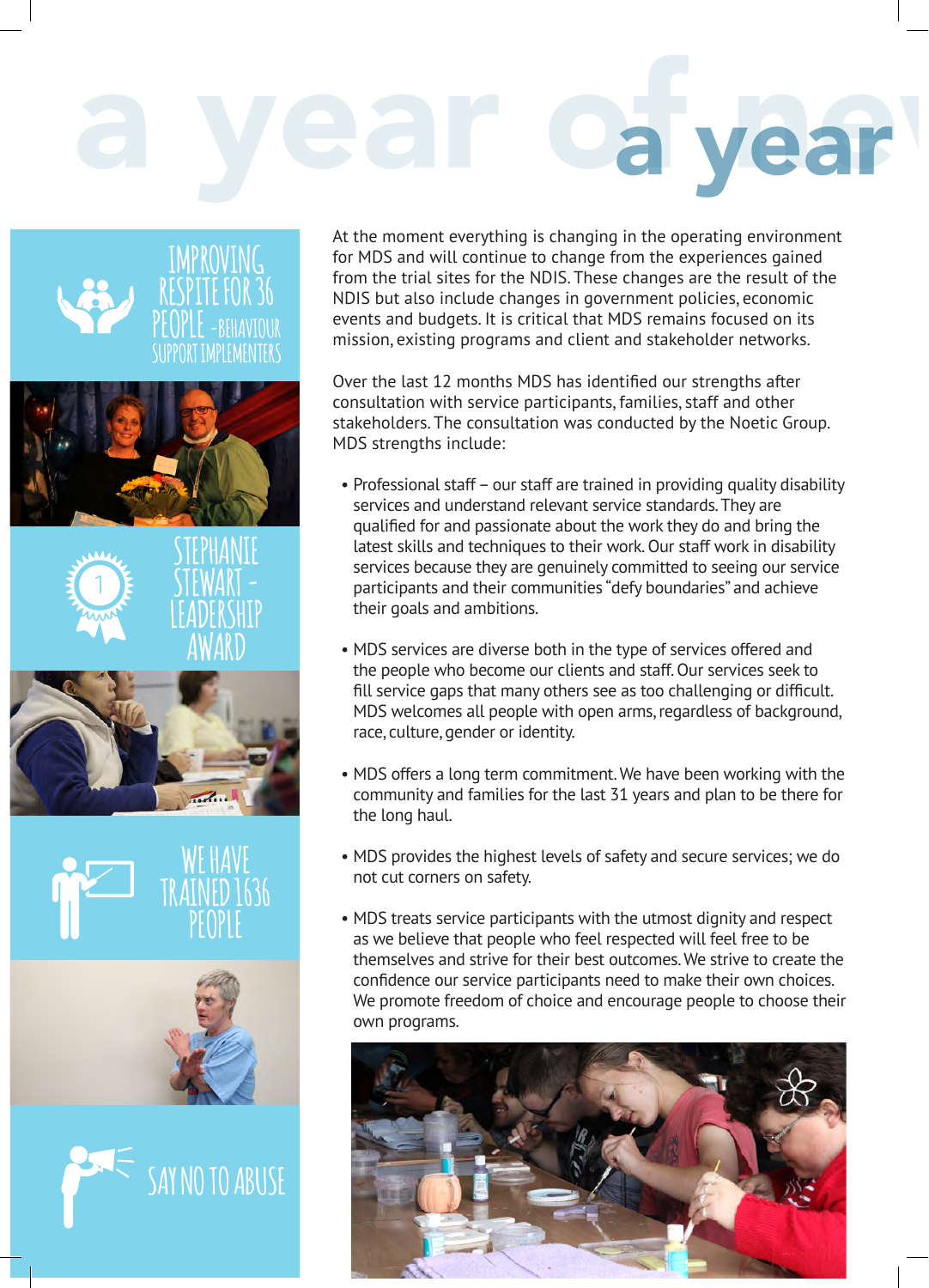# a year of year



At the moment everything is changing in the operating environment for MDS and will continue to change from the experiences gained from the trial sites for the NDIS. These changes are the result of the NDIS but also include changes in government policies, economic events and budgets. It is critical that MDS remains focused on its mission, existing programs and client and stakeholder networks.

Over the last 12 months MDS has identified our strengths after consultation with service participants, families, staff and other stakeholders. The consultation was conducted by the Noetic Group. MDS strengths include:

- Professional staff our staff are trained in providing quality disability services and understand relevant service standards. They are qualified for and passionate about the work they do and bring the latest skills and techniques to their work. Our staff work in disability services because they are genuinely committed to seeing our service participants and their communities "defy boundaries" and achieve their goals and ambitions.
- MDS services are diverse both in the type of services offered and the people who become our clients and staff. Our services seek to fill service gaps that many others see as too challenging or difficult. MDS welcomes all people with open arms, regardless of background, race, culture, gender or identity.
- MDS offers a long term commitment. We have been working with the community and families for the last 31 years and plan to be there for the long haul.
- MDS provides the highest levels of safety and secure services; we do not cut corners on safety.
- MDS treats service participants with the utmost dignity and respect as we believe that people who feel respected will feel free to be themselves and strive for their best outcomes. We strive to create the confidence our service participants need to make their own choices. We promote freedom of choice and encourage people to choose their own programs.

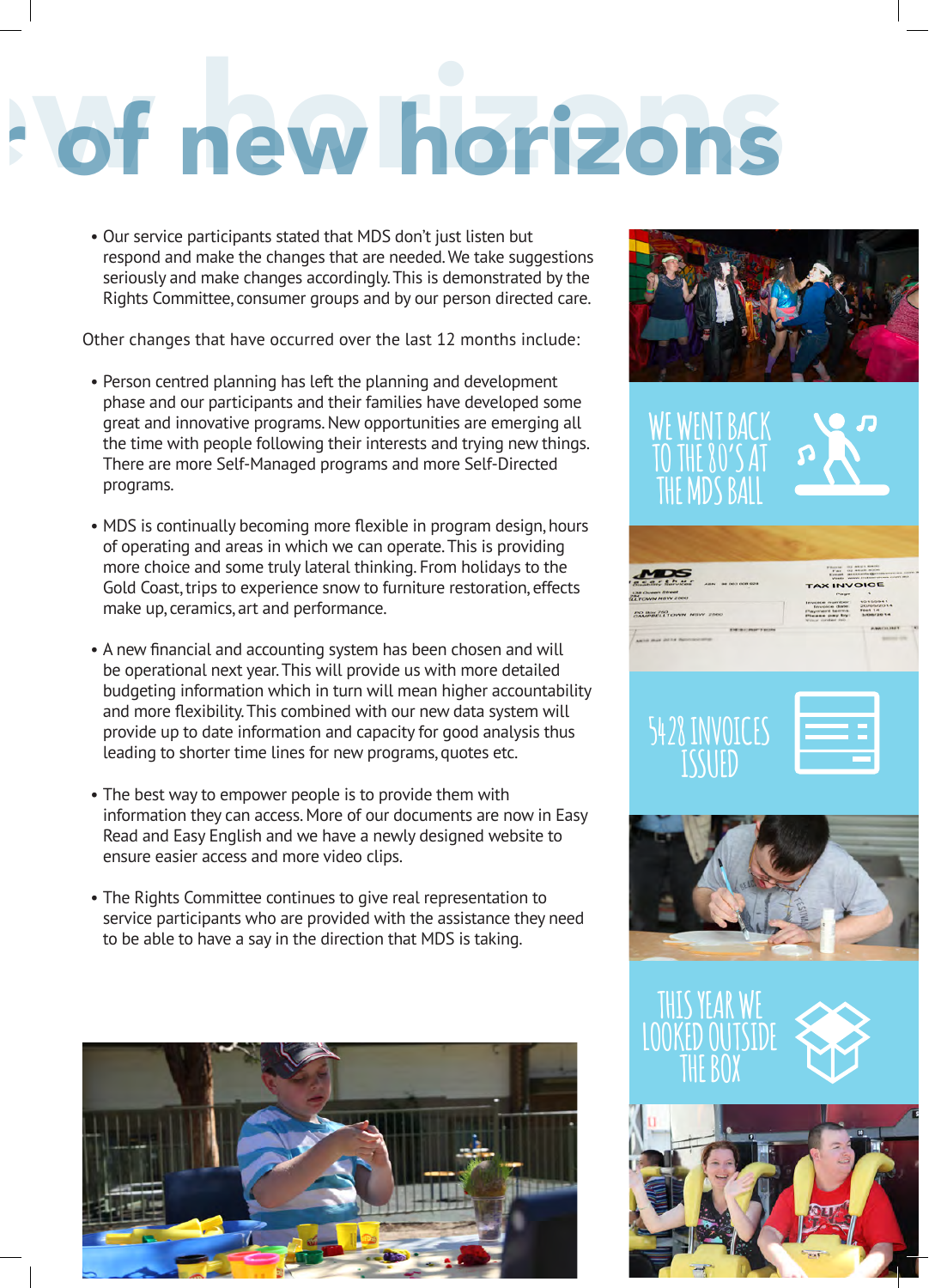## a year of new horizons a year of new horizons

• Our service participants stated that MDS don't just listen but respond and make the changes that are needed. We take suggestions seriously and make changes accordingly. This is demonstrated by the Rights Committee, consumer groups and by our person directed care.

Other changes that have occurred over the last 12 months include:

- Person centred planning has left the planning and development phase and our participants and their families have developed some great and innovative programs. New opportunities are emerging all the time with people following their interests and trying new things. There are more Self-Managed programs and more Self-Directed programs.
- MDS is continually becoming more flexible in program design, hours of operating and areas in which we can operate. This is providing more choice and some truly lateral thinking. From holidays to the Gold Coast, trips to experience snow to furniture restoration, effects make up, ceramics, art and performance.
- A new financial and accounting system has been chosen and will be operational next year. This will provide us with more detailed budgeting information which in turn will mean higher accountability and more flexibility. This combined with our new data system will provide up to date information and capacity for good analysis thus leading to shorter time lines for new programs, quotes etc.
- The best way to empower people is to provide them with information they can access. More of our documents are now in Easy Read and Easy English and we have a newly designed website to ensure easier access and more video clips.
- The Rights Committee continues to give real representation to service participants who are provided with the assistance they need to be able to have a say in the direction that MDS is taking.





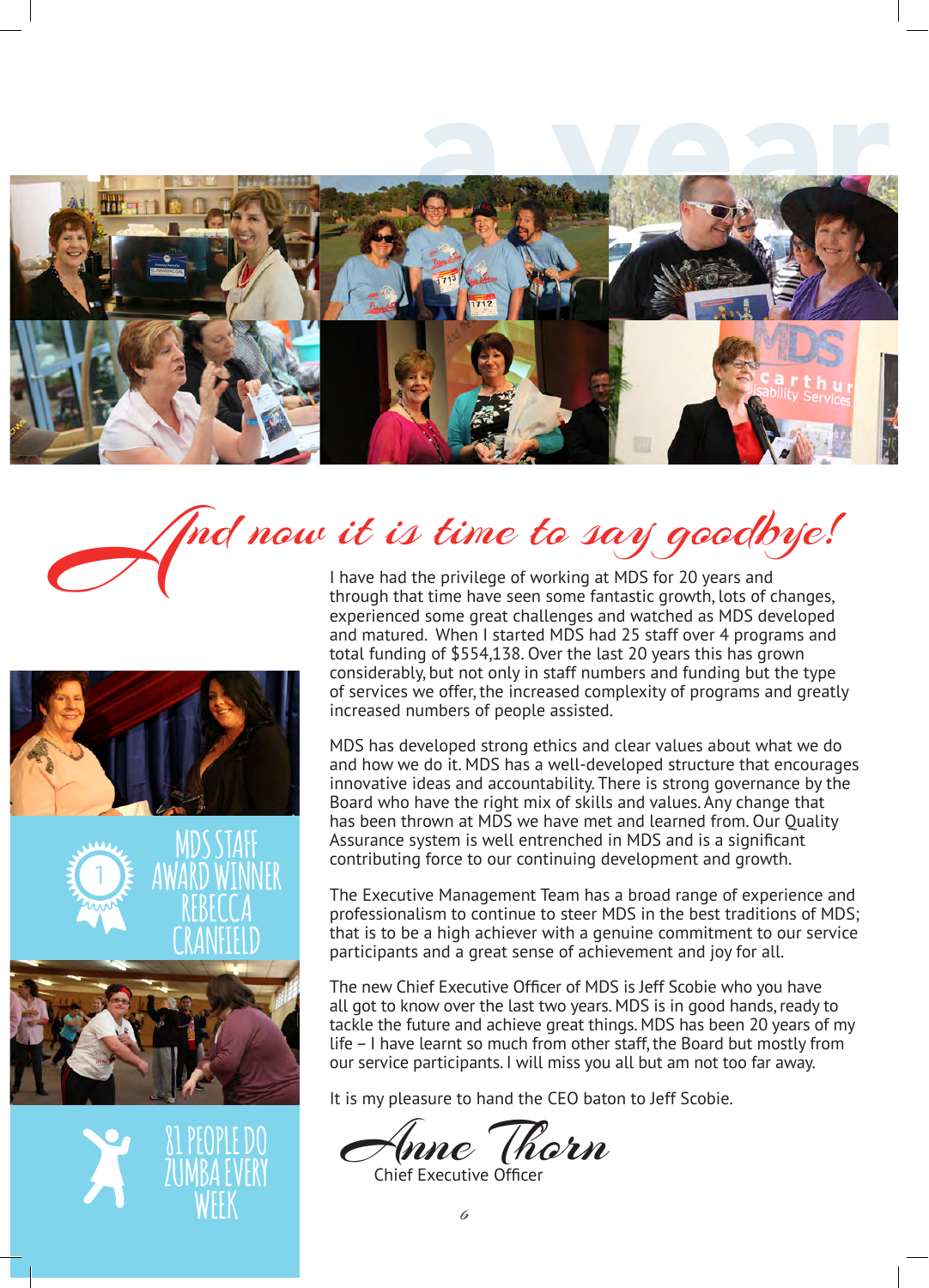









nd now it is time to say goodbye!

I have had the privilege of working at MDS for 20 years and through that time have seen some fantastic growth, lots of changes, experienced some great challenges and watched as MDS developed and matured. When I started MDS had 25 staff over 4 programs and total funding of \$554,138. Over the last 20 years this has grown considerably, but not only in staff numbers and funding but the type of services we offer, the increased complexity of programs and greatly increased numbers of people assisted.

MDS has developed strong ethics and clear values about what we do and how we do it. MDS has a well-developed structure that encourages innovative ideas and accountability. There is strong governance by the Board who have the right mix of skills and values. Any change that has been thrown at MDS we have met and learned from. Our Quality Assurance system is well entrenched in MDS and is a significant contributing force to our continuing development and growth.

The Executive Management Team has a broad range of experience and professionalism to continue to steer MDS in the best traditions of MDS; that is to be a high achiever with a genuine commitment to our service participants and a great sense of achievement and joy for all.

The new Chief Executive Officer of MDS is Jeff Scobie who you have all got to know over the last two years. MDS is in good hands, ready to tackle the future and achieve great things. MDS has been 20 years of my life – I have learnt so much from other staff, the Board but mostly from our service participants. I will miss you all but am not too far away.

It is my pleasure to hand the CEO baton to Jeff Scobie.

Inne (horn

Chief Executive Officer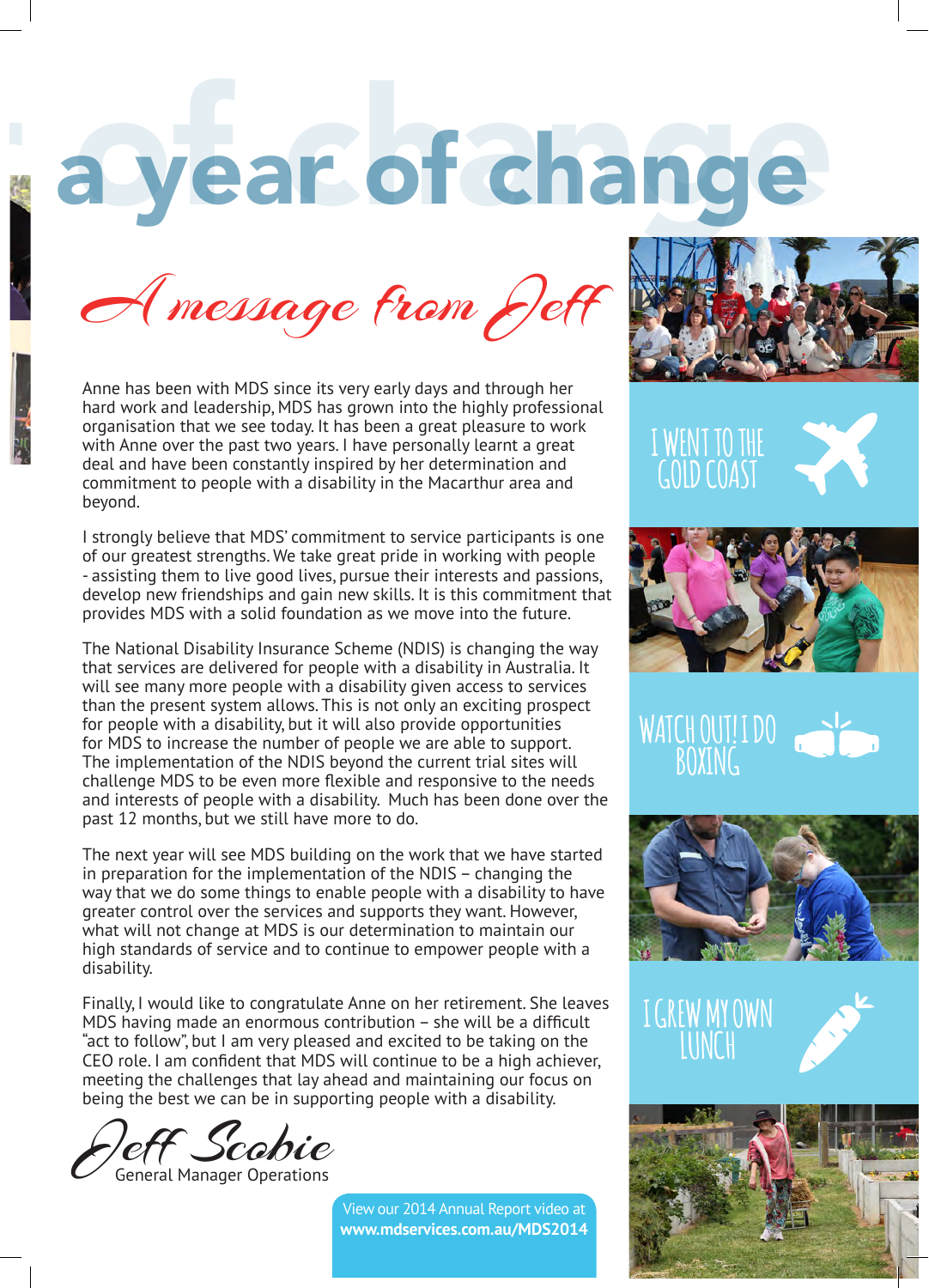### a year of change

A message from Jeff

Anne has been with MDS since its very early days and through her hard work and leadership, MDS has grown into the highly professional organisation that we see today. It has been a great pleasure to work with Anne over the past two years. I have personally learnt a great deal and have been constantly inspired by her determination and commitment to people with a disability in the Macarthur area and beyond.

I strongly believe that MDS' commitment to service participants is one of our greatest strengths. We take great pride in working with people - assisting them to live good lives, pursue their interests and passions, develop new friendships and gain new skills. It is this commitment that provides MDS with a solid foundation as we move into the future.

The National Disability Insurance Scheme (NDIS) is changing the way that services are delivered for people with a disability in Australia. It will see many more people with a disability given access to services than the present system allows. This is not only an exciting prospect for people with a disability, but it will also provide opportunities for MDS to increase the number of people we are able to support. The implementation of the NDIS beyond the current trial sites will challenge MDS to be even more flexible and responsive to the needs and interests of people with a disability. Much has been done over the past 12 months, but we still have more to do.

The next year will see MDS building on the work that we have started in preparation for the implementation of the NDIS – changing the way that we do some things to enable people with a disability to have greater control over the services and supports they want. However, what will not change at MDS is our determination to maintain our high standards of service and to continue to empower people with a disability.

Finally, I would like to congratulate Anne on her retirement. She leaves MDS having made an enormous contribution – she will be a difficult "act to follow", but I am very pleased and excited to be taking on the CEO role. I am confident that MDS will continue to be a high achiever, meeting the challenges that lay ahead and maintaining our focus on being the best we can be in supporting people with a disability.

Jeff Scobie General Manager Operations















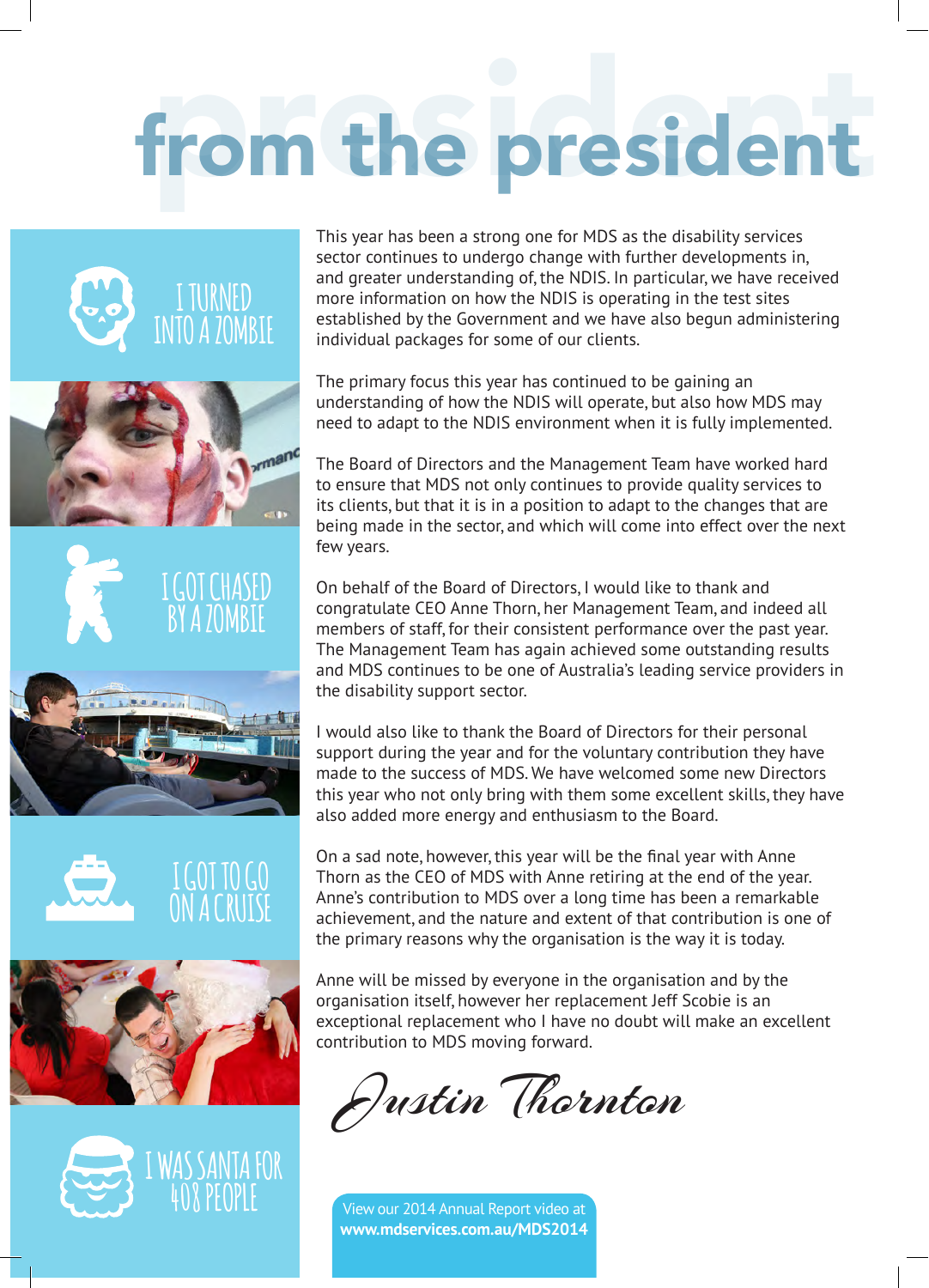## from the president



This year has been a strong one for MDS as the disability services sector continues to undergo change with further developments in, and greater understanding of, the NDIS. In particular, we have received more information on how the NDIS is operating in the test sites established by the Government and we have also begun administering individual packages for some of our clients.

The primary focus this year has continued to be gaining an understanding of how the NDIS will operate, but also how MDS may need to adapt to the NDIS environment when it is fully implemented.

The Board of Directors and the Management Team have worked hard to ensure that MDS not only continues to provide quality services to its clients, but that it is in a position to adapt to the changes that are being made in the sector, and which will come into effect over the next few years.

On behalf of the Board of Directors, I would like to thank and congratulate CEO Anne Thorn, her Management Team, and indeed all members of staff, for their consistent performance over the past year. The Management Team has again achieved some outstanding results and MDS continues to be one of Australia's leading service providers in the disability support sector.

I would also like to thank the Board of Directors for their personal support during the year and for the voluntary contribution they have made to the success of MDS. We have welcomed some new Directors this year who not only bring with them some excellent skills, they have also added more energy and enthusiasm to the Board.

On a sad note, however, this year will be the final year with Anne Thorn as the CEO of MDS with Anne retiring at the end of the year. Anne's contribution to MDS over a long time has been a remarkable achievement, and the nature and extent of that contribution is one of the primary reasons why the organisation is the way it is today.

Anne will be missed by everyone in the organisation and by the organisation itself, however her replacement Jeff Scobie is an exceptional replacement who I have no doubt will make an excellent contribution to MDS moving forward.

Justin Thornton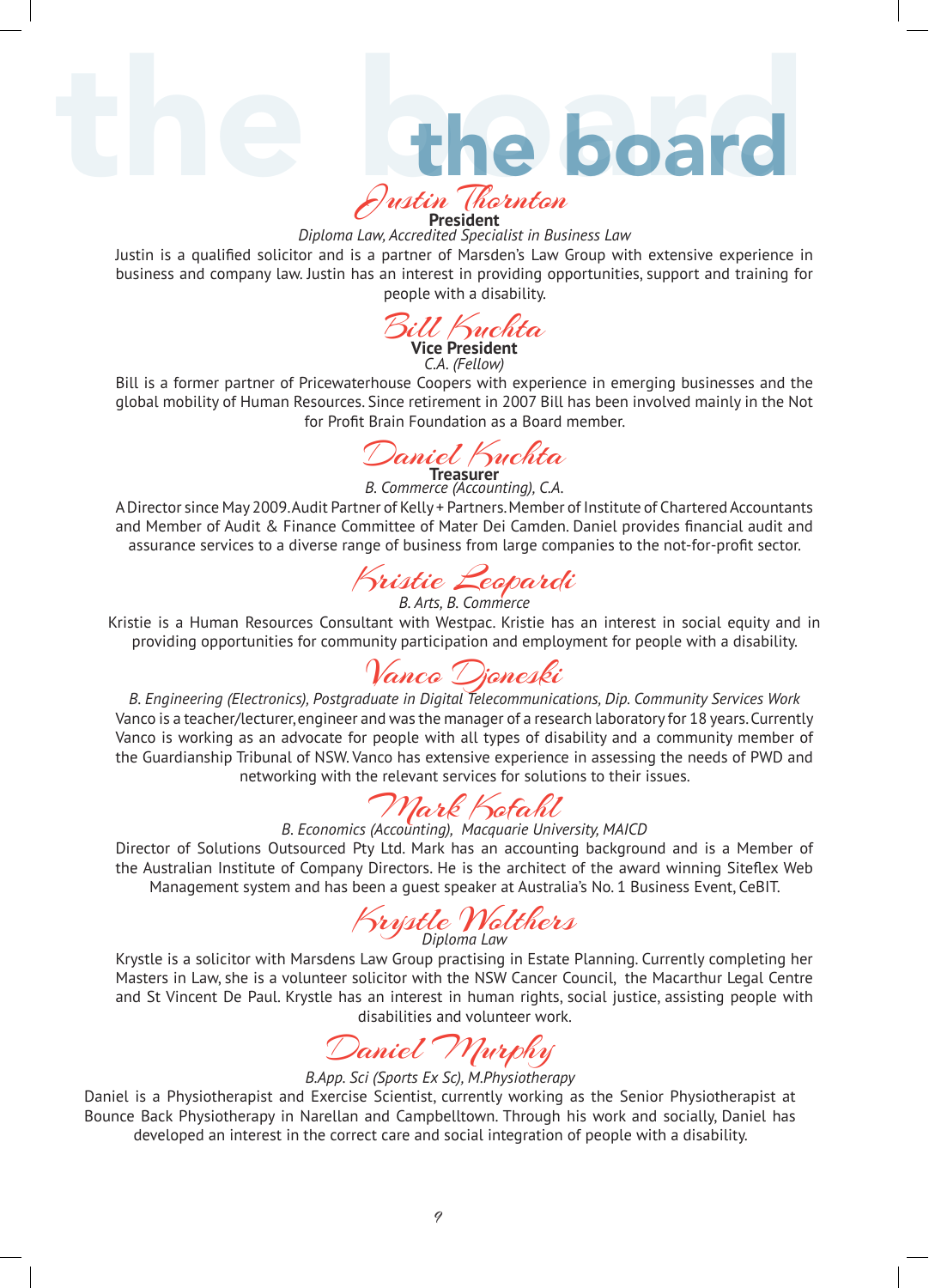the board

#### Justin Thornton **President**

*Diploma Law, Accredited Specialist in Business Law* 

Justin is a qualified solicitor and is a partner of Marsden's Law Group with extensive experience in business and company law. Justin has an interest in providing opportunities, support and training for people with a disability.

Bill Kuchta **Vice President** *C.A. (Fellow)*

Bill is a former partner of Pricewaterhouse Coopers with experience in emerging businesses and the global mobility of Human Resources. Since retirement in 2007 Bill has been involved mainly in the Not for Profit Brain Foundation as a Board member.

Daniel Kuchta **Treasurer**

*B. Commerce (Accounting), C.A.*  A Director since May 2009. Audit Partner of Kelly + Partners. Member of Institute of Chartered Accountants and Member of Audit & Finance Committee of Mater Dei Camden. Daniel provides financial audit and assurance services to a diverse range of business from large companies to the not-for-profit sector.

Kristie Leopardi

*B. Arts, B. Commerce*  Kristie is a Human Resources Consultant with Westpac. Kristie has an interest in social equity and in providing opportunities for community participation and employment for people with a disability.

Vanco Djoneski

*B. Engineering (Electronics), Postgraduate in Digital Telecommunications, Dip. Community Services Work* Vanco is a teacher/lecturer, engineer and was the manager of a research laboratory for 18 years. Currently Vanco is working as an advocate for people with all types of disability and a community member of the Guardianship Tribunal of NSW. Vanco has extensive experience in assessing the needs of PWD and networking with the relevant services for solutions to their issues.

Mark Kofahl *B. Economics (Accounting), Macquarie University, MAICD*

Director of Solutions Outsourced Pty Ltd. Mark has an accounting background and is a Member of the Australian Institute of Company Directors. He is the architect of the award winning Siteflex Web Management system and has been a guest speaker at Australia's No. 1 Business Event, CeBIT.

Krystle Wolthers *Diploma Law*

Krystle is a solicitor with Marsdens Law Group practising in Estate Planning. Currently completing her Masters in Law, she is a volunteer solicitor with the NSW Cancer Council, the Macarthur Legal Centre and St Vincent De Paul. Krystle has an interest in human rights, social justice, assisting people with disabilities and volunteer work.

Daniel Murphy

#### *B.App. Sci (Sports Ex Sc), M.Physiotherapy*

Daniel is a Physiotherapist and Exercise Scientist, currently working as the Senior Physiotherapist at Bounce Back Physiotherapy in Narellan and Campbelltown. Through his work and socially, Daniel has developed an interest in the correct care and social integration of people with a disability.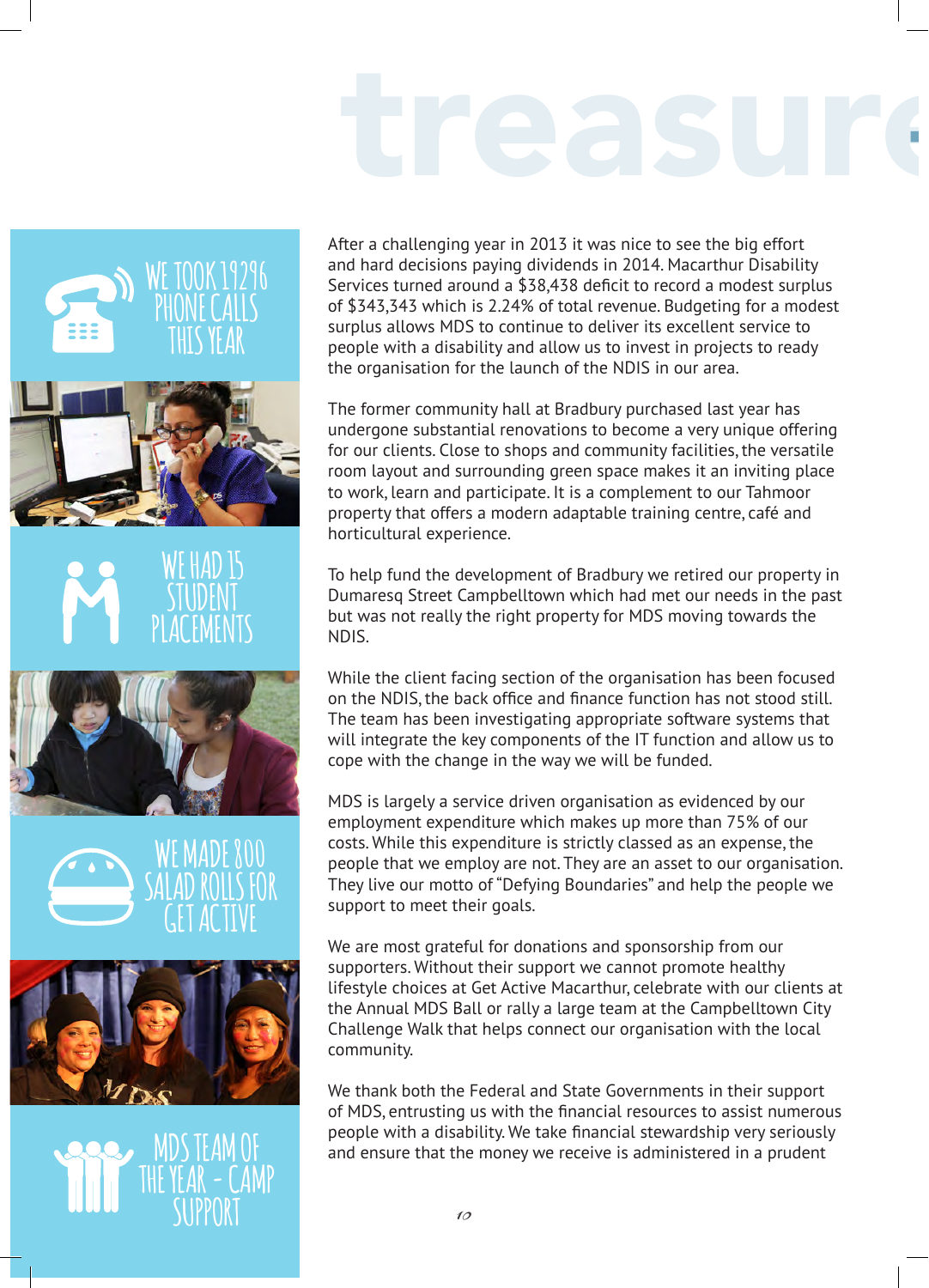# treasur.



After a challenging year in 2013 it was nice to see the big effort and hard decisions paying dividends in 2014. Macarthur Disability Services turned around a \$38,438 deficit to record a modest surplus of \$343,343 which is 2.24% of total revenue. Budgeting for a modest surplus allows MDS to continue to deliver its excellent service to people with a disability and allow us to invest in projects to ready the organisation for the launch of the NDIS in our area.

The former community hall at Bradbury purchased last year has undergone substantial renovations to become a very unique offering for our clients. Close to shops and community facilities, the versatile room layout and surrounding green space makes it an inviting place to work, learn and participate. It is a complement to our Tahmoor property that offers a modern adaptable training centre, café and horticultural experience.

To help fund the development of Bradbury we retired our property in Dumaresq Street Campbelltown which had met our needs in the past but was not really the right property for MDS moving towards the NDIS.

While the client facing section of the organisation has been focused on the NDIS, the back office and finance function has not stood still. The team has been investigating appropriate software systems that will integrate the key components of the IT function and allow us to cope with the change in the way we will be funded.

MDS is largely a service driven organisation as evidenced by our employment expenditure which makes up more than 75% of our costs. While this expenditure is strictly classed as an expense, the people that we employ are not. They are an asset to our organisation. They live our motto of "Defying Boundaries" and help the people we support to meet their goals.

We are most grateful for donations and sponsorship from our supporters. Without their support we cannot promote healthy lifestyle choices at Get Active Macarthur, celebrate with our clients at the Annual MDS Ball or rally a large team at the Campbelltown City Challenge Walk that helps connect our organisation with the local community.

We thank both the Federal and State Governments in their support of MDS, entrusting us with the financial resources to assist numerous people with a disability. We take financial stewardship very seriously and ensure that the money we receive is administered in a prudent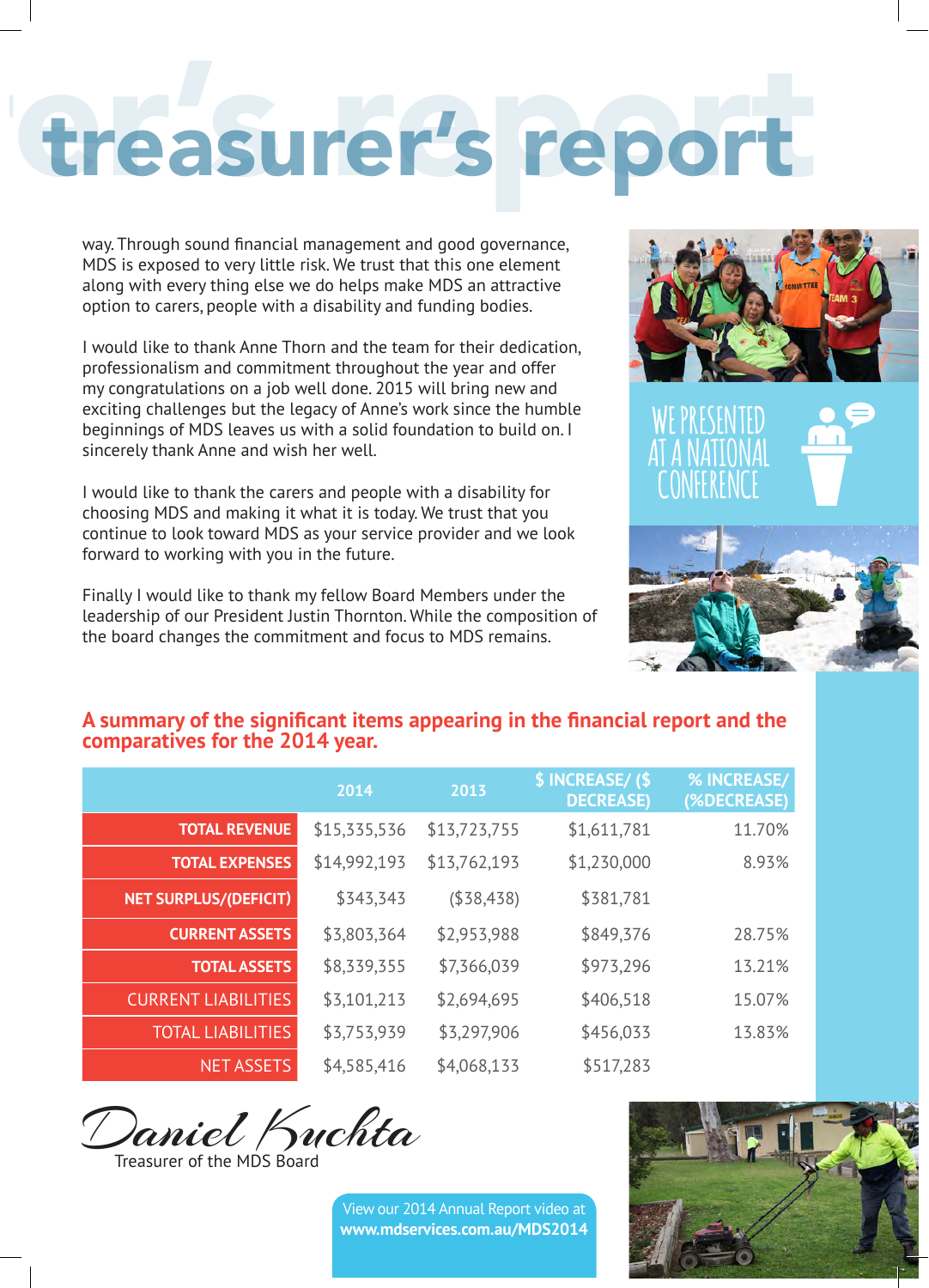### treasurer's report

way. Through sound financial management and good governance, MDS is exposed to very little risk. We trust that this one element along with every thing else we do helps make MDS an attractive option to carers, people with a disability and funding bodies.

I would like to thank Anne Thorn and the team for their dedication, professionalism and commitment throughout the year and offer my congratulations on a job well done. 2015 will bring new and exciting challenges but the legacy of Anne's work since the humble beginnings of MDS leaves us with a solid foundation to build on. I sincerely thank Anne and wish her well.

I would like to thank the carers and people with a disability for choosing MDS and making it what it is today. We trust that you continue to look toward MDS as your service provider and we look forward to working with you in the future.

Finally I would like to thank my fellow Board Members under the leadership of our President Justin Thornton. While the composition of the board changes the commitment and focus to MDS remains.





#### **A summary of the significant items appearing in the financial report and the comparatives for the 2014 year.**

|                              | 2014         | 2013         | \$ INCREASE/(\$<br><b>DECREASE)</b> | % INCREASE/<br>(%DECREASE) |
|------------------------------|--------------|--------------|-------------------------------------|----------------------------|
| <b>TOTAL REVENUE</b>         | \$15,335,536 | \$13,723,755 | \$1,611,781                         | 11.70%                     |
| <b>TOTAL EXPENSES</b>        | \$14,992,193 | \$13,762,193 | \$1,230,000                         | 8.93%                      |
| <b>NET SURPLUS/(DEFICIT)</b> | \$343,343    | (\$38,438)   | \$381,781                           |                            |
| <b>CURRENT ASSETS</b>        | \$3,803,364  | \$2,953,988  | \$849,376                           | 28.75%                     |
| <b>TOTAL ASSETS</b>          | \$8,339,355  | \$7,366,039  | \$973,296                           | 13.21%                     |
| <b>CURRENT LIABILITIES</b>   | \$3,101,213  | \$2,694,695  | \$406,518                           | 15.07%                     |
| <b>TOTAL LIABILITIES</b>     | \$3,753,939  | \$3,297,906  | \$456,033                           | 13.83%                     |
| <b>NET ASSETS</b>            | \$4,585,416  | \$4,068,133  | \$517,283                           |                            |

Daniel Kuchta

Treasurer of the MDS Board